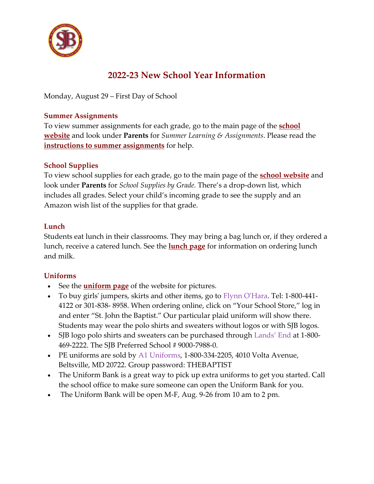

# **2022-23 New School Year Information**

Monday, August 29 – First Day of School

### **Summer Assignments**

To view summer assignments for each grade, go to the main page of the **[school](https://www.sjbsilverspring.org/%7BCCM:BASE_URL%7D/)  [website](https://www.sjbsilverspring.org/%7BCCM:BASE_URL%7D/)** and look under **Parents** for *Summer Learning & Assignments*. Please read the **[instructions to summer assignments](https://www.sjbsilverspring.org/files/3316/5453/8828/Instructions_for_Summer_Assignments.pdf)** for help.

## **School Supplies**

To view school supplies for each grade, go to the main page of the **[school website](https://www.sjbsilverspring.org/%7BCCM:BASE_URL%7D/)** and look under **Parents** for *School Supplies by Grade.* There's a drop-down list, which includes all grades. Select your child's incoming grade to see the supply and an Amazon wish list of the supplies for that grade.

## **Lunch**

Students eat lunch in their classrooms. They may bring a bag lunch or, if they ordered a lunch, receive a catered lunch. See the **[lunch page](https://www.sjbsilverspring.org/%7BCCM:BASE_URL%7D/parents/school-lunch-information/)** for information on ordering lunch and milk.

## **[Uniforms](https://www.sjbsilverspring.org/%7BCCM:BASE_URL%7D/parents/uniform/)**

- See the **[uniform page](https://www.sjbsilverspring.org/%7BCCM:BASE_URL%7D/parents/uniform/)** of the website for pictures.
- To buy girls' jumpers, skirts and other items, go to [Flynn O'Hara.](http://www.flynnohara.com/) Tel: 1-800-441- 4122 or 301-838- 8958. When ordering online, click on "Your School Store," log in and enter "St. John the Baptist." Our particular plaid uniform will show there. Students may wear the polo shirts and sweaters without logos or with SJB logos.
- SJB logo polo shirts and sweaters can be purchased through [Lands' End](http://www.landsend.com/) at 1-800- 469-2222. The SJB Preferred School # 9000-7988-0.
- PE uniforms are sold by [A1 Uniforms,](https://a1uniforms.buyerssecure.com/login/account?p=true) 1-800-334-2205, 4010 Volta Avenue, Beltsville, MD 20722. Group password: THEBAPTIST
- The Uniform Bank is a great way to pick up extra uniforms to get you started. Call the school office to make sure someone can open the Uniform Bank for you.
- The Uniform Bank will be open M-F, Aug. 9-26 from 10 am to 2 pm.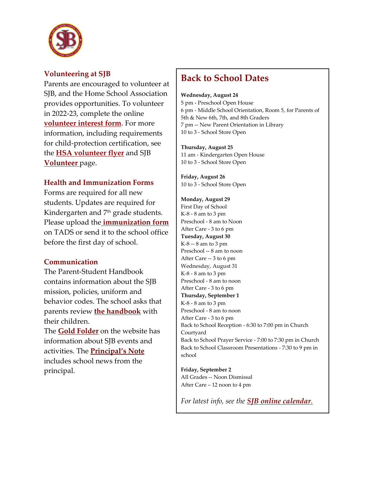

### **Volunteering at SJB**

Parents are encouraged to volunteer at SIB, and the Home School Association provides opportunities. To volunteer in 2022-23, complete the online **[volunteer interest form](https://forms.gle/iQW6cN3AK9vwhAhY7)**. For more information, including requirements for child-protection certification, see the **[HSA volunteer flyer](https://www.sjbsilverspring.org/files/7416/5469/1138/HSA_Vacancies_Flyer_2022.pdf)** and SJB **[Volunteer](https://www.sjbsilverspring.org/%7BCCM:BASE_URL%7D/parents/volunteers/)** page.

#### **Health and Immunization Forms**

Forms are required for all new students. Updates are required for Kindergarten and  $7<sup>th</sup>$  grade students. Please upload the **[immunization form](https://drive.google.com/drive/u/0/folders/0B3PQ5-lUSgKNYzE2YTM2OGEtYWI2Mi00YWQyLWEyOTctN2VmMWI2OTc3OGMz?ddrp=1&hl=en_US)** on TADS or send it to the school office before the first day of school.

#### **Communication**

The Parent-Student Handbook contains information about the SJB mission, policies, uniform and behavior codes. The school asks that parents review **[the handbook](https://www.sjbsilverspring.org/%7BCCM:BASE_URL%7D/files/4116/4865/1986/SJB_Parent_Student_Handbook_2022-23.pdf)** with their children.

The **[Gold Folder](https://www.sjbsilverspring.org/parents/gold-folder/)** on the website has information about SJB events and activities. The **[Principal's Note](https://www.sjbsilverspring.org/parents/notes/)** includes school news from the principal.

## **Back to School Dates**

**Wednesday, August 24**

5 pm - Preschool Open House 6 pm - Middle School Orientation, Room 5, for Parents of 5th & New 6th, 7th, and 8th Graders 7 pm -- New Parent Orientation in Library 10 to 3 - School Store Open

**Thursday, August 25** 11 am - Kindergarten Open House 10 to 3 - School Store Open

**Friday, August 26** 10 to 3 - School Store Open

#### **Monday, August 29** First Day of School K-8 - 8 am to 3 pm Preschool - 8 am to Noon After Care - 3 to 6 pm **Tuesday, August 30** K-8 -- 8 am to 3 pm Preschool -- 8 am to noon After Care -- 3 to 6 pm Wednesday, August 31 K-8 - 8 am to 3 pm Preschool - 8 am to noon After Care - 3 to 6 pm **Thursday, September 1** K-8 - 8 am to 3 pm Preschool - 8 am to noon After Care - 3 to 6 pm Back to School Reception - 6:30 to 7:00 pm in Church Courtyard Back to School Prayer Service - 7:00 to 7:30 pm in Church Back to School Classroom Presentations - 7:30 to 9 pm in school

**Friday, September 2** All Grades -- Noon Dismissal After Care – 12 noon to 4 pm

*For latest info, see the [SJB online calendar](https://calendar.google.com/calendar/embed?src=sjbsilverspring%40gmail.com&ctz=America%2FNew_York).*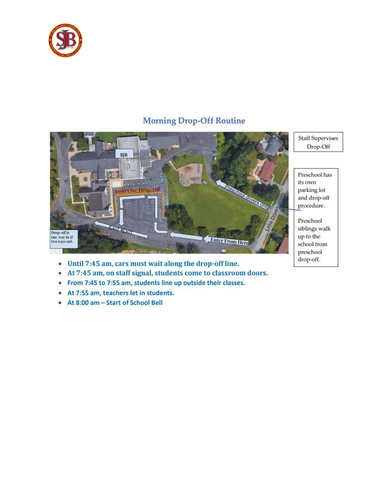

## **Morning Drop-Off Routine**



- Until 7:45 am, cars must wait along the drop-off line.
- At 7:45 am, on staff signal, students come to classroom doors.  $\bullet$
- From 7:45 to 7:55 am, students line up outside their classes.  $\bullet$
- At 7:55 am, teachers let in students.
- At 8:00 am Start of School Bell